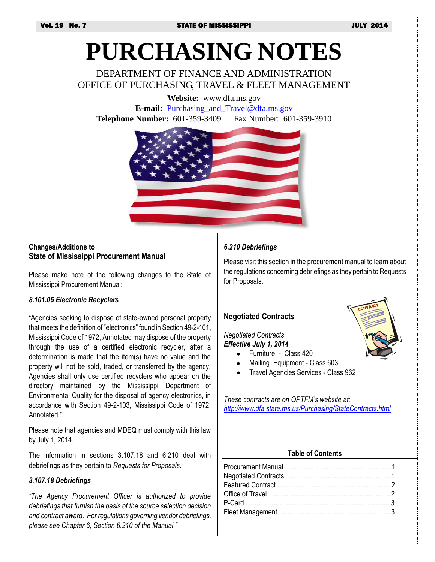# **PURCHASING NOTES**

DEPARTMENT OF FINANCE AND ADMINISTRATION OFFICE OF PURCHASING, TRAVEL & FLEET MANAGEMENT

**Website:** www.dfa.ms.gov

**E-mail:** [Purchasing\\_and\\_Travel@dfa.ms.gov](mailto:Purchasing_and_Travel@dfa.ms.gov) **Telephone Number:** 601-359-3409 Fax Number: 601-359-3910



# **Changes/Additions to State of Mississippi Procurement Manual**

Please make note of the following changes to the State of Mississippi Procurement Manual:

#### *8.101.05 Electronic Recyclers*

"Agencies seeking to dispose of state-owned personal property that meets the definition of "electronics" found in Section 49-2-101, Mississippi Code of 1972, Annotated may dispose of the property through the use of a certified electronic recycler, after a determination is made that the item(s) have no value and the property will not be sold, traded, or transferred by the agency. Agencies shall only use certified recyclers who appear on the directory maintained by the Mississippi Department of Environmental Quality for the disposal of agency electronics, in accordance with Section 49-2-103, Mississippi Code of 1972, Annotated."

Please note that agencies and MDEQ must comply with this law by July 1, 2014.

The information in sections 3.107.18 and 6.210 deal with debriefings as they pertain to *Requests for Proposals*.

#### *3.107.18 Debriefings*

*"The Agency Procurement Officer is authorized to provide debriefings that furnish the basis of the source selection decision and contract award. For regulations governing vendor debriefings, please see Chapter 6, Section 6.210 of the Manual."*

#### *6.210 Debriefings*

Please visit this section in the procurement manual to learn about the regulations concerning debriefings as they pertain to Requests for Proposals.

# **Negotiated Contracts**

#### *Negotiated Contracts Effective July 1, 2014*

- Furniture Class 420
- Mailing Equipment Class 603
- Travel Agencies Services Class 962

*These contracts are on OPTFM's website at: <http://www.dfa.state.ms.us/Purchasing/StateContracts.html>*

#### **Table of Contents**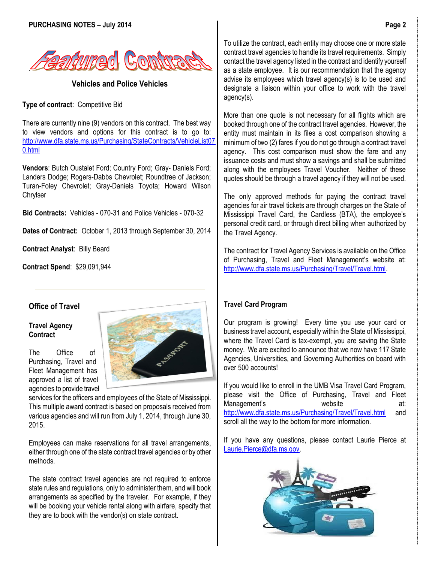



**Vehicles and Police Vehicles**

**Type of contract**: Competitive Bid

There are currently nine (9) vendors on this contract. The best way to view vendors and options for this contract is to go to: [http://www.dfa.state.ms.us/Purchasing/StateContracts/VehicleList07](http://www.dfa.state.ms.us/Purchasing/StateContracts/VehicleList070.html) [0.html](http://www.dfa.state.ms.us/Purchasing/StateContracts/VehicleList070.html)

**Vendors**: Butch Oustalet Ford; Country Ford; Gray- Daniels Ford; Landers Dodge; Rogers-Dabbs Chevrolet; Roundtree of Jackson; Turan-Foley Chevrolet; Gray-Daniels Toyota; Howard Wilson **Chrylser** 

**Bid Contracts:** Vehicles - 070-31 and Police Vehicles - 070-32

**Dates of Contract:** October 1, 2013 through September 30, 2014

**Contract Analyst**: Billy Beard

**Contract Spend**: \$29,091,944

# **Office of Travel**

#### **Travel Agency Contract**

The Office of Purchasing, Travel and Fleet Management has approved a list of travel agencies to provide travel



services for the officers and employees of the State of Mississippi. This multiple award contract is based on proposals received from various agencies and will run from July 1, 2014, through June 30, 2015.

Employees can make reservations for all travel arrangements, either through one of the state contract travel agencies or by other methods.

The state contract travel agencies are not required to enforce state rules and regulations, only to administer them, and will book arrangements as specified by the traveler. For example, if they will be booking your vehicle rental along with airfare, specify that they are to book with the vendor(s) on state contract.

To utilize the contract, each entity may choose one or more state contract travel agencies to handle its travel requirements. Simply contact the travel agency listed in the contract and identify yourself as a state employee. It is our recommendation that the agency advise its employees which travel agency(s) is to be used and designate a liaison within your office to work with the travel agency(s).

More than one quote is not necessary for all flights which are booked through one of the contract travel agencies. However, the entity must maintain in its files a cost comparison showing a minimum of two (2) fares if you do not go through a contract travel agency. This cost comparison must show the fare and any issuance costs and must show a savings and shall be submitted along with the employees Travel Voucher. Neither of these quotes should be through a travel agency if they will not be used.

The only approved methods for paying the contract travel agencies for air travel tickets are through charges on the State of Mississippi Travel Card, the Cardless (BTA), the employee's personal credit card, or through direct billing when authorized by the Travel Agency.

The contract for Travel Agency Services is available on the Office of Purchasing, Travel and Fleet Management's website at: [http://www.dfa.state.ms.us/Purchasing/Travel/Travel.html.](http://www.dfa.state.ms.us/Purchasing/Travel/Travel.html) 

# **Travel Card Program**

Our program is growing! Every time you use your card or business travel account, especially within the State of Mississippi, where the Travel Card is tax-exempt, you are saving the State money. We are excited to announce that we now have 117 State Agencies, Universities, and Governing Authorities on board with over 500 accounts!

If you would like to enroll in the UMB Visa Travel Card Program, please visit the Office of Purchasing, Travel and Fleet Management's website at: <http://www.dfa.state.ms.us/Purchasing/Travel/Travel.html> and scroll all the way to the bottom for more information.

If you have any questions, please contact Laurie Pierce at [Laurie.Pierce@dfa.ms.gov.](mailto:Laurie.Pierce@dfa.ms.gov)